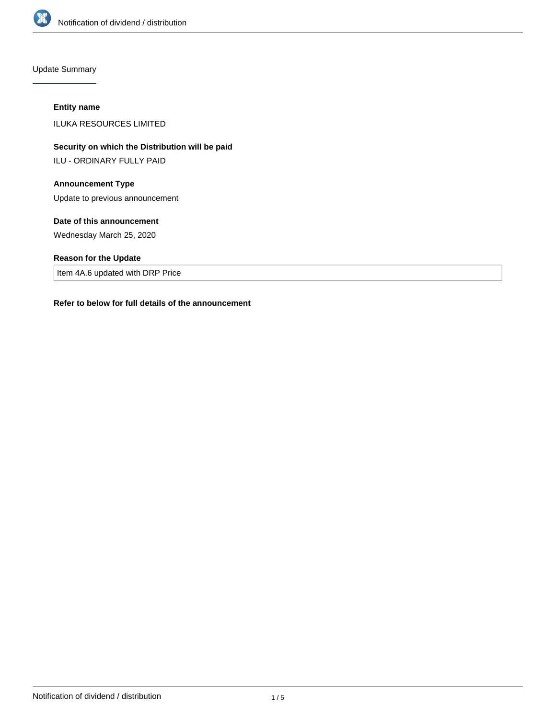

Update Summary

# **Entity name**

ILUKA RESOURCES LIMITED

**Security on which the Distribution will be paid**

ILU - ORDINARY FULLY PAID

# **Announcement Type**

Update to previous announcement

# **Date of this announcement**

Wednesday March 25, 2020

# **Reason for the Update**

Item 4A.6 updated with DRP Price

#### **Refer to below for full details of the announcement**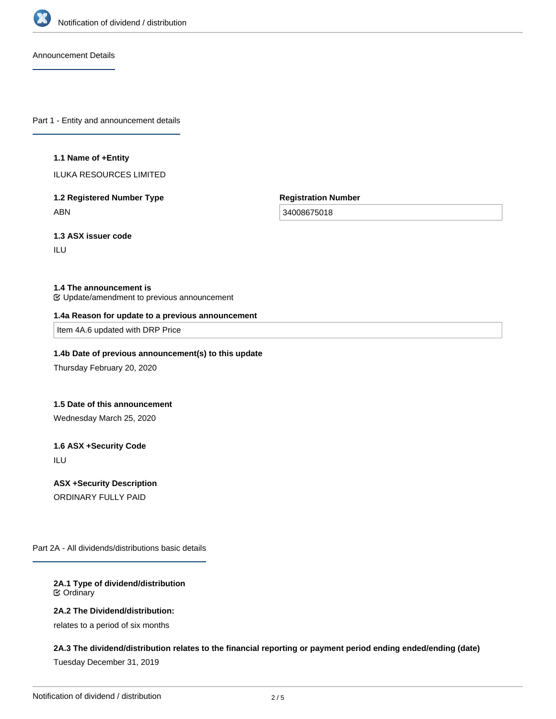

Announcement Details

Part 1 - Entity and announcement details

#### **1.1 Name of +Entity**

ILUKA RESOURCES LIMITED

**1.2 Registered Number Type** ABN

**Registration Number**

34008675018

**1.3 ASX issuer code**

ILU

#### **1.4 The announcement is**

Update/amendment to previous announcement

#### **1.4a Reason for update to a previous announcement**

Item 4A.6 updated with DRP Price

# **1.4b Date of previous announcement(s) to this update**

Thursday February 20, 2020

### **1.5 Date of this announcement**

Wednesday March 25, 2020

#### **1.6 ASX +Security Code**

ILU

# **ASX +Security Description**

ORDINARY FULLY PAID

Part 2A - All dividends/distributions basic details

### **2A.1 Type of dividend/distribution** Ordinary

# **2A.2 The Dividend/distribution:**

relates to a period of six months

#### **2A.3 The dividend/distribution relates to the financial reporting or payment period ending ended/ending (date)**

Tuesday December 31, 2019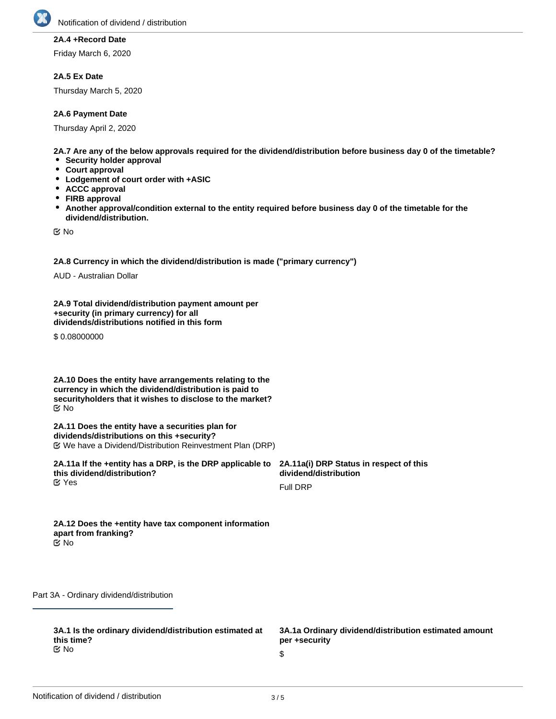

# **2A.4 +Record Date**

Friday March 6, 2020

#### **2A.5 Ex Date**

Thursday March 5, 2020

# **2A.6 Payment Date**

Thursday April 2, 2020

**2A.7 Are any of the below approvals required for the dividend/distribution before business day 0 of the timetable?**

- **Security holder approval**
- **Court approval**
- **Lodgement of court order with +ASIC**
- **ACCC approval**
- **FIRB approval**
- **Another approval/condition external to the entity required before business day 0 of the timetable for the dividend/distribution.**

No

**2A.8 Currency in which the dividend/distribution is made ("primary currency")**

AUD - Australian Dollar

**2A.9 Total dividend/distribution payment amount per +security (in primary currency) for all dividends/distributions notified in this form**

\$0.08000000

**2A.10 Does the entity have arrangements relating to the currency in which the dividend/distribution is paid to securityholders that it wishes to disclose to the market?** No

**2A.11 Does the entity have a securities plan for dividends/distributions on this +security?** We have a Dividend/Distribution Reinvestment Plan (DRP)

**2A.11a If the +entity has a DRP, is the DRP applicable to this dividend/distribution? EX** Yes

**2A.11a(i) DRP Status in respect of this dividend/distribution**

Full DRP

**2A.12 Does the +entity have tax component information apart from franking?** No

Part 3A - Ordinary dividend/distribution

**3A.1 Is the ordinary dividend/distribution estimated at this time?** No

**3A.1a Ordinary dividend/distribution estimated amount per +security**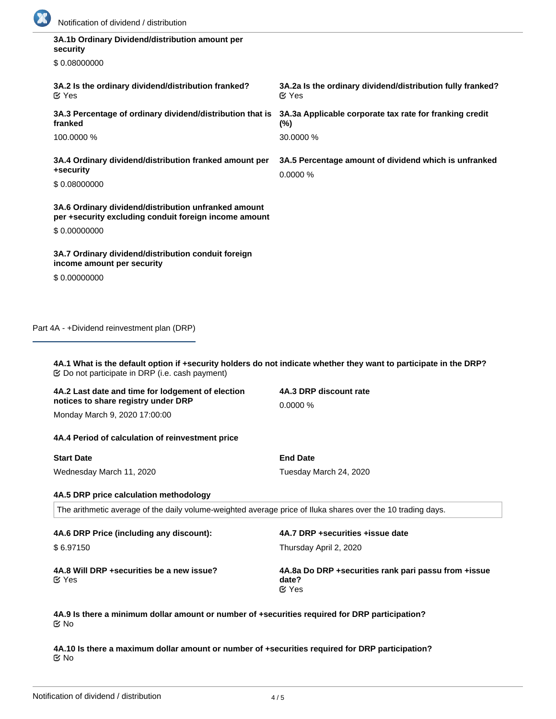

| 3A.1b Ordinary Dividend/distribution amount per<br>security                                                                                                                      |                                                                                 |
|----------------------------------------------------------------------------------------------------------------------------------------------------------------------------------|---------------------------------------------------------------------------------|
| \$0.08000000                                                                                                                                                                     |                                                                                 |
| 3A.2 Is the ordinary dividend/distribution franked?<br><b>M</b> Yes                                                                                                              | 3A.2a Is the ordinary dividend/distribution fully franked?<br>$\mathfrak C$ Yes |
| 3A.3 Percentage of ordinary dividend/distribution that is<br>franked                                                                                                             | 3A.3a Applicable corporate tax rate for franking credit<br>(%)                  |
| 100.0000 %                                                                                                                                                                       | 30.0000 %                                                                       |
| 3A.4 Ordinary dividend/distribution franked amount per<br>+security                                                                                                              | 3A.5 Percentage amount of dividend which is unfranked<br>0.0000 %               |
| \$0.08000000                                                                                                                                                                     |                                                                                 |
| 3A.6 Ordinary dividend/distribution unfranked amount<br>per +security excluding conduit foreign income amount                                                                    |                                                                                 |
| \$0.00000000                                                                                                                                                                     |                                                                                 |
| 3A.7 Ordinary dividend/distribution conduit foreign<br>income amount per security                                                                                                |                                                                                 |
| \$0.00000000                                                                                                                                                                     |                                                                                 |
|                                                                                                                                                                                  |                                                                                 |
| Part 4A - +Dividend reinvestment plan (DRP)                                                                                                                                      |                                                                                 |
| 4A.1 What is the default option if +security holders do not indicate whether they want to participate in the DRP?<br>$\mathfrak C$ Do not participate in DRP (i.e. cash payment) |                                                                                 |
| 4A.2 Last date and time for lodgement of election<br>notices to share registry under DRP                                                                                         | 4A.3 DRP discount rate<br>0.0000%                                               |

Monday March 9, 2020 17:00:00

### **4A.4 Period of calculation of reinvestment price**

| <b>Start Date</b>        |  |
|--------------------------|--|
| Wednesday March 11, 2020 |  |

# **4A.5 DRP price calculation methodology**

The arithmetic average of the daily volume-weighted average price of Iluka shares over the 10 trading days.

**4A.6 DRP Price (including any discount):**

\$ 6.97150

**4A.7 DRP +securities +issue date**

Thursday April 2, 2020

Tuesday March 24, 2020

**End Date**

Yes

**4A.8 Will DRP +securities be a new issue? 4A.8a Do DRP +securities rank pari passu from +issue date?** Yes

**4A.9 Is there a minimum dollar amount or number of +securities required for DRP participation?** No

**4A.10 Is there a maximum dollar amount or number of +securities required for DRP participation?** No